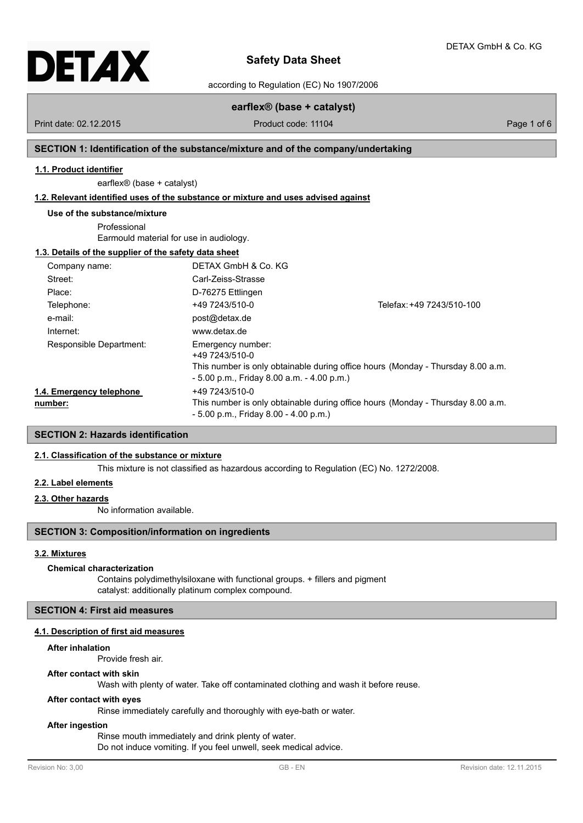

according to Regulation (EC) No 1907/2006

# **earflex® (base + catalyst)**

Print date: 02.12.2015 **Product code: 11104** Product code: 11104 Page 1 of 6

#### **SECTION 1: Identification of the substance/mixture and of the company/undertaking**

#### **1.1. Product identifier**

earflex® (base + catalyst)

#### **1.2. Relevant identified uses of the substance or mixture and uses advised against**

#### **Use of the substance/mixture**

Professional Earmould material for use in audiology.

### **1.3. Details of the supplier of the safety data sheet**

| Company name:                       | DETAX GmbH & Co. KG                                                                 |                                                                                 |
|-------------------------------------|-------------------------------------------------------------------------------------|---------------------------------------------------------------------------------|
| Street:                             | Carl-Zeiss-Strasse                                                                  |                                                                                 |
| Place:                              | D-76275 Ettlingen                                                                   |                                                                                 |
| Telephone:                          | +49 7243/510-0                                                                      | Telefax: +49 7243/510-100                                                       |
| e-mail:                             | post@detax.de                                                                       |                                                                                 |
| Internet:                           | www.detax.de                                                                        |                                                                                 |
| Responsible Department:             | Emergency number:<br>+49 7243/510-0<br>$-5.00$ p.m., Friday 8.00 a.m. $-4.00$ p.m.) | This number is only obtainable during office hours (Monday - Thursday 8.00 a.m. |
| 1.4. Emergency telephone<br>number: | +49 7243/510-0<br>$-5.00$ p.m., Friday 8.00 $-4.00$ p.m.)                           | This number is only obtainable during office hours (Monday - Thursday 8.00 a.m. |

### **SECTION 2: Hazards identification**

### **2.1. Classification of the substance or mixture**

This mixture is not classified as hazardous according to Regulation (EC) No. 1272/2008.

### **2.2. Label elements**

#### **2.3. Other hazards**

No information available.

### **SECTION 3: Composition/information on ingredients**

#### **3.2. Mixtures**

#### **Chemical characterization**

Contains polydimethylsiloxane with functional groups. + fillers and pigment catalyst: additionally platinum complex compound.

#### **SECTION 4: First aid measures**

#### **4.1. Description of first aid measures**

#### **After inhalation**

Provide fresh air.

#### **After contact with skin**

Wash with plenty of water. Take off contaminated clothing and wash it before reuse.

#### **After contact with eyes**

Rinse immediately carefully and thoroughly with eye-bath or water.

#### **After ingestion**

Rinse mouth immediately and drink plenty of water.

Do not induce vomiting. If you feel unwell, seek medical advice.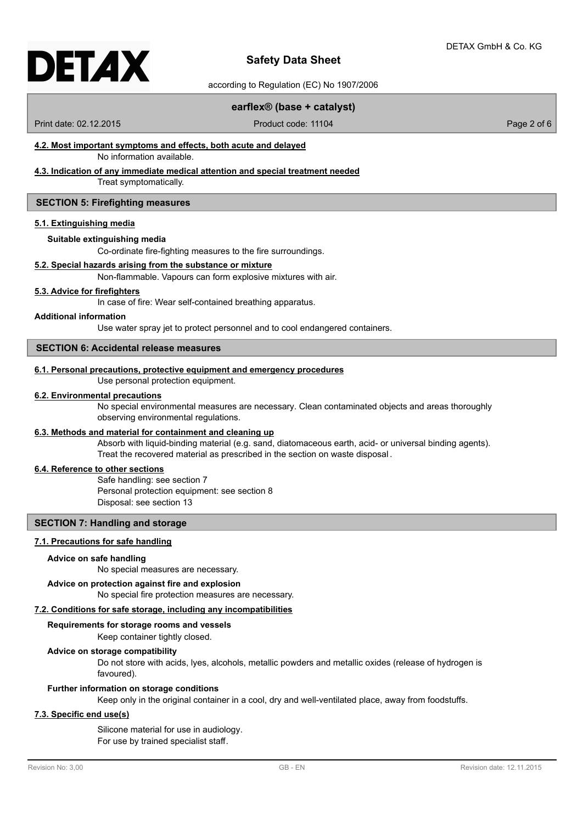according to Regulation (EC) No 1907/2006

#### **earflex® (base + catalyst)**

Print date: 02.12.2015 **Product code: 11104** Product code: 11104 Page 2 of 6

# **4.2. Most important symptoms and effects, both acute and delayed**

No information available.

### **4.3. Indication of any immediate medical attention and special treatment needed**

Treat symptomatically.

#### **SECTION 5: Firefighting measures**

#### **5.1. Extinguishing media**

#### **Suitable extinguishing media**

Co-ordinate fire-fighting measures to the fire surroundings.

#### **5.2. Special hazards arising from the substance or mixture**

Non-flammable. Vapours can form explosive mixtures with air.

#### **5.3. Advice for firefighters**

In case of fire: Wear self-contained breathing apparatus.

#### **Additional information**

Use water spray jet to protect personnel and to cool endangered containers.

#### **SECTION 6: Accidental release measures**

#### **6.1. Personal precautions, protective equipment and emergency procedures**

Use personal protection equipment.

#### **6.2. Environmental precautions**

No special environmental measures are necessary. Clean contaminated objects and areas thoroughly observing environmental regulations.

### **6.3. Methods and material for containment and cleaning up**

Absorb with liquid-binding material (e.g. sand, diatomaceous earth, acid- or universal binding agents). Treat the recovered material as prescribed in the section on waste disposal .

### **6.4. Reference to other sections**

Safe handling: see section 7 Personal protection equipment: see section 8 Disposal: see section 13

### **SECTION 7: Handling and storage**

#### **7.1. Precautions for safe handling**

#### **Advice on safe handling**

No special measures are necessary.

#### **Advice on protection against fire and explosion**

No special fire protection measures are necessary.

#### **7.2. Conditions for safe storage, including any incompatibilities**

### **Requirements for storage rooms and vessels**

Keep container tightly closed.

#### **Advice on storage compatibility**

Do not store with acids, lyes, alcohols, metallic powders and metallic oxides (release of hydrogen is favoured).

#### **Further information on storage conditions**

Keep only in the original container in a cool, dry and well-ventilated place, away from foodstuffs.

### **7.3. Specific end use(s)**

Silicone material for use in audiology. For use by trained specialist staff.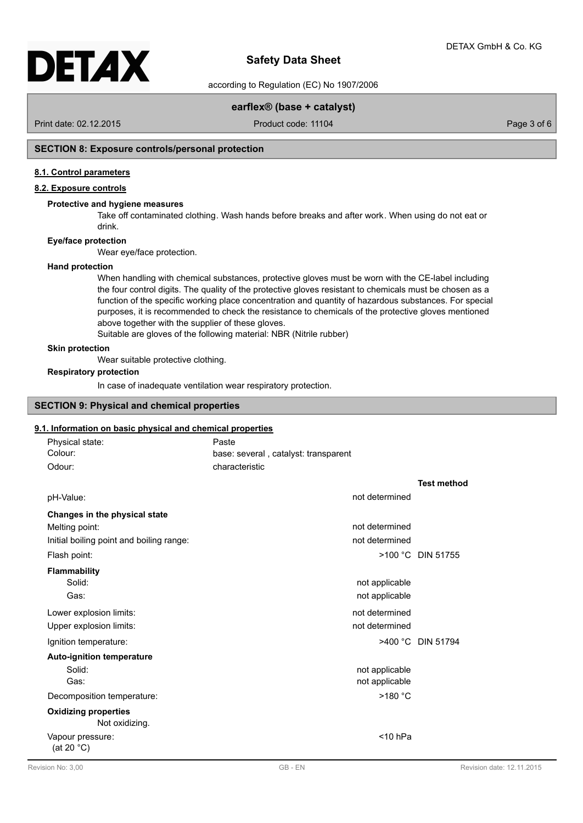according to Regulation (EC) No 1907/2006

### **earflex® (base + catalyst)**

Print date: 02.12.2015 **Product code: 11104** Product code: 11104

### **SECTION 8: Exposure controls/personal protection**

#### **8.1. Control parameters**

#### **8.2. Exposure controls**

#### **Protective and hygiene measures**

Take off contaminated clothing. Wash hands before breaks and after work. When using do not eat or drink.

#### **Eye/face protection**

Wear eye/face protection.

#### **Hand protection**

When handling with chemical substances, protective gloves must be worn with the CE-label including the four control digits. The quality of the protective gloves resistant to chemicals must be chosen as a function of the specific working place concentration and quantity of hazardous substances. For special purposes, it is recommended to check the resistance to chemicals of the protective gloves mentioned above together with the supplier of these gloves.

Suitable are gloves of the following material: NBR (Nitrile rubber)

#### **Skin protection**

Wear suitable protective clothing.

### **Respiratory protection**

In case of inadequate ventilation wear respiratory protection.

### **SECTION 9: Physical and chemical properties**

#### **9.1. Information on basic physical and chemical properties**

| Physical state:                               | Paste                                |                    |
|-----------------------------------------------|--------------------------------------|--------------------|
| Colour:                                       | base: several, catalyst: transparent |                    |
| Odour:                                        | characteristic                       |                    |
|                                               |                                      | <b>Test method</b> |
| pH-Value:                                     | not determined                       |                    |
| Changes in the physical state                 |                                      |                    |
| Melting point:                                | not determined                       |                    |
| Initial boiling point and boiling range:      | not determined                       |                    |
| Flash point:                                  |                                      | >100 °C DIN 51755  |
| Flammability                                  |                                      |                    |
| Solid:                                        | not applicable                       |                    |
| Gas:                                          | not applicable                       |                    |
| Lower explosion limits:                       | not determined                       |                    |
| Upper explosion limits:                       | not determined                       |                    |
| Ignition temperature:                         |                                      | >400 °C DIN 51794  |
| <b>Auto-ignition temperature</b>              |                                      |                    |
| Solid:                                        | not applicable                       |                    |
| Gas:                                          | not applicable                       |                    |
| Decomposition temperature:                    | >180 °C                              |                    |
| <b>Oxidizing properties</b><br>Not oxidizing. |                                      |                    |
| Vapour pressure:<br>(at 20 $^{\circ}$ C)      | $<$ 10 hPa                           |                    |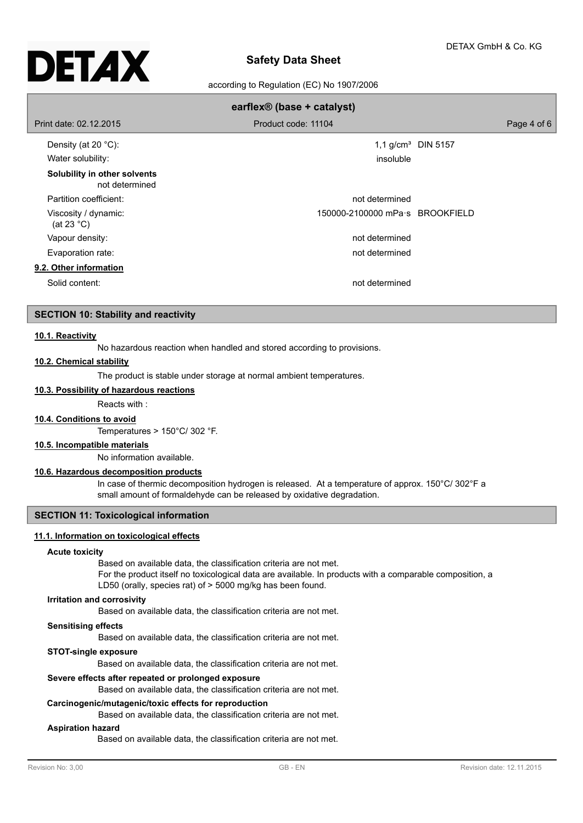

according to Regulation (EC) No 1907/2006

| earflex <sup>®</sup> (base + catalyst)         |                                 |                                |  |  |  |
|------------------------------------------------|---------------------------------|--------------------------------|--|--|--|
| Print date: 02.12.2015                         | Product code: 11104             | Page 4 of 6                    |  |  |  |
| Density (at 20 $°C$ ):                         |                                 | 1,1 g/cm <sup>3</sup> DIN 5157 |  |  |  |
| Water solubility:                              | insoluble                       |                                |  |  |  |
| Solubility in other solvents<br>not determined |                                 |                                |  |  |  |
| Partition coefficient:                         | not determined                  |                                |  |  |  |
| Viscosity / dynamic:<br>(at 23 $^{\circ}$ C)   | 150000-2100000 mPa·s BROOKFIELD |                                |  |  |  |
| Vapour density:                                | not determined                  |                                |  |  |  |
| Evaporation rate:                              | not determined                  |                                |  |  |  |
| 9.2. Other information                         |                                 |                                |  |  |  |
| Solid content:                                 | not determined                  |                                |  |  |  |

### **SECTION 10: Stability and reactivity**

#### **10.1. Reactivity**

No hazardous reaction when handled and stored according to provisions.

#### **10.2. Chemical stability**

The product is stable under storage at normal ambient temperatures.

**10.3. Possibility of hazardous reactions**

Reacts with :

#### **10.4. Conditions to avoid**

Temperatures > 150°C/ 302 °F.

### **10.5. Incompatible materials**

No information available.

### **10.6. Hazardous decomposition products**

In case of thermic decomposition hydrogen is released. At a temperature of approx. 150°C/ 302°F a small amount of formaldehyde can be released by oxidative degradation.

### **SECTION 11: Toxicological information**

#### **11.1. Information on toxicological effects**

#### **Acute toxicity**

Based on available data, the classification criteria are not met.

For the product itself no toxicological data are available. In products with a comparable composition, a LD50 (orally, species rat) of > 5000 mg/kg has been found.

#### **Irritation and corrosivity**

Based on available data, the classification criteria are not met.

#### **Sensitising effects**

Based on available data, the classification criteria are not met.

#### **STOT-single exposure**

Based on available data, the classification criteria are not met.

#### **Severe effects after repeated or prolonged exposure**

Based on available data, the classification criteria are not met.

#### **Carcinogenic/mutagenic/toxic effects for reproduction**

Based on available data, the classification criteria are not met.

#### **Aspiration hazard**

Based on available data, the classification criteria are not met.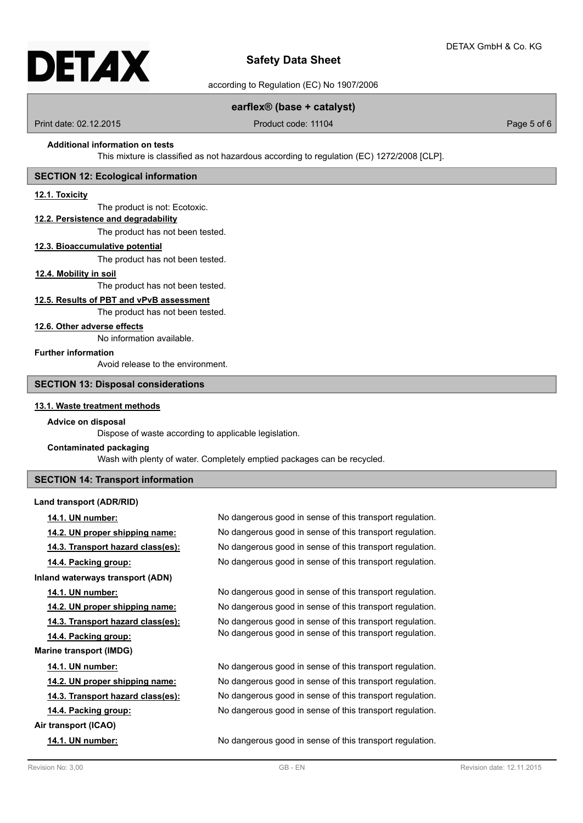

according to Regulation (EC) No 1907/2006

### **earflex® (base + catalyst)**

Print date: 02.12.2015 **Product code: 11104** Product code: 11104

#### **Additional information on tests**

This mixture is classified as not hazardous according to regulation (EC) 1272/2008 [CLP].

### **SECTION 12: Ecological information**

#### **12.1. Toxicity**

The product is not: Ecotoxic.

### **12.2. Persistence and degradability**

The product has not been tested.

#### **12.3. Bioaccumulative potential**

The product has not been tested.

#### **12.4. Mobility in soil**

The product has not been tested.

### **12.5. Results of PBT and vPvB assessment**

The product has not been tested.

#### **12.6. Other adverse effects**

No information available.

### **Further information**

Avoid release to the environment.

### **SECTION 13: Disposal considerations**

### **13.1. Waste treatment methods**

#### **Advice on disposal**

Dispose of waste according to applicable legislation.

#### **Contaminated packaging**

Wash with plenty of water. Completely emptied packages can be recycled.

### **SECTION 14: Transport information**

#### **Land transport (ADR/RID)**

| 14.1. UN number:                  | No dangerous good in sense of this transport regulation. |
|-----------------------------------|----------------------------------------------------------|
| 14.2. UN proper shipping name:    | No dangerous good in sense of this transport regulation. |
| 14.3. Transport hazard class(es): | No dangerous good in sense of this transport regulation. |
| 14.4. Packing group:              | No dangerous good in sense of this transport regulation. |
| Inland waterways transport (ADN)  |                                                          |
| 14.1. UN number:                  | No dangerous good in sense of this transport regulation. |
| 14.2. UN proper shipping name:    | No dangerous good in sense of this transport regulation. |
| 14.3. Transport hazard class(es): | No dangerous good in sense of this transport regulation. |
| 14.4. Packing group:              | No dangerous good in sense of this transport regulation. |
| <b>Marine transport (IMDG)</b>    |                                                          |
| 14.1. UN number:                  | No dangerous good in sense of this transport regulation. |
| 14.2. UN proper shipping name:    | No dangerous good in sense of this transport regulation. |
| 14.3. Transport hazard class(es): | No dangerous good in sense of this transport regulation. |
| 14.4. Packing group:              | No dangerous good in sense of this transport regulation. |
| Air transport (ICAO)              |                                                          |
| 14.1. UN number:                  | No dangerous good in sense of this transport regulation. |
|                                   |                                                          |